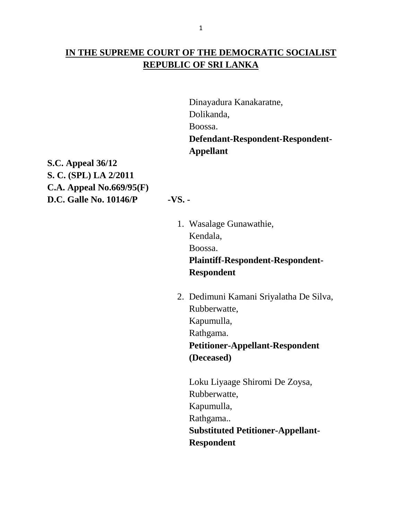# **IN THE SUPREME COURT OF THE DEMOCRATIC SOCIALIST REPUBLIC OF SRI LANKA**

Dinayadura Kanakaratne, Dolikanda, Boossa. **Defendant-Respondent-Respondent-Appellant**

**S.C. Appeal 36/12 S. C. (SPL) LA 2/2011 C.A. Appeal No.669/95(F) D.C. Galle No. 10146/P -VS. -**

1. Wasalage Gunawathie, Kendala, Boossa.

# **Plaintiff-Respondent-Respondent-Respondent**

2. Dedimuni Kamani Sriyalatha De Silva, Rubberwatte, Kapumulla, Rathgama. **Petitioner-Appellant-Respondent (Deceased)**

Loku Liyaage Shiromi De Zoysa, Rubberwatte, Kapumulla, Rathgama.. **Substituted Petitioner-Appellant-Respondent**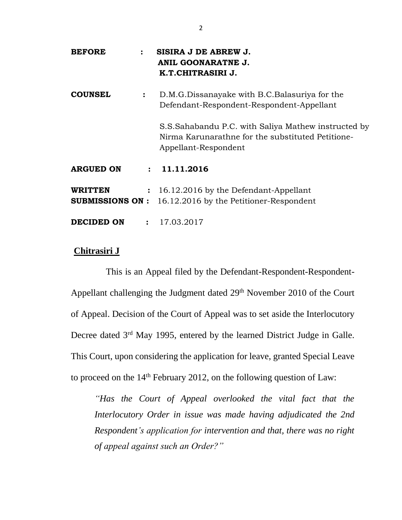| <b>BEFORE</b>                      | $\ddot{\phantom{a}}$ | SISIRA J DE ABREW J.<br><b>ANIL GOONARATNE J.</b><br>K.T.CHITRASIRI J.                                                           |
|------------------------------------|----------------------|----------------------------------------------------------------------------------------------------------------------------------|
| <b>COUNSEL</b>                     | $\ddot{\cdot}$       | D.M.G.Dissanayake with B.C.Balasuriya for the<br>Defendant-Respondent-Respondent-Appellant                                       |
|                                    |                      | S.S.Sahabandu P.C. with Saliya Mathew instructed by<br>Nirma Karunarathne for the substituted Petitione-<br>Appellant-Respondent |
| <b>ARGUED ON</b>                   |                      | : 11.11.2016                                                                                                                     |
| <b>WRITTEN</b><br>SUBMISSIONS ON : |                      | : 16.12.2016 by the Defendant-Appellant<br>16.12.2016 by the Petitioner-Respondent                                               |
| DECIDED ON                         |                      | : 17.03.2017                                                                                                                     |

## **Chitrasiri J**

This is an Appeal filed by the Defendant-Respondent-Respondent-Appellant challenging the Judgment dated 29<sup>th</sup> November 2010 of the Court of Appeal. Decision of the Court of Appeal was to set aside the Interlocutory Decree dated 3<sup>rd</sup> May 1995, entered by the learned District Judge in Galle. This Court, upon considering the application for leave, granted Special Leave to proceed on the 14<sup>th</sup> February 2012, on the following question of Law:

*"Has the Court of Appeal overlooked the vital fact that the Interlocutory Order in issue was made having adjudicated the 2nd Respondent's application for intervention and that, there was no right of appeal against such an Order?"*

2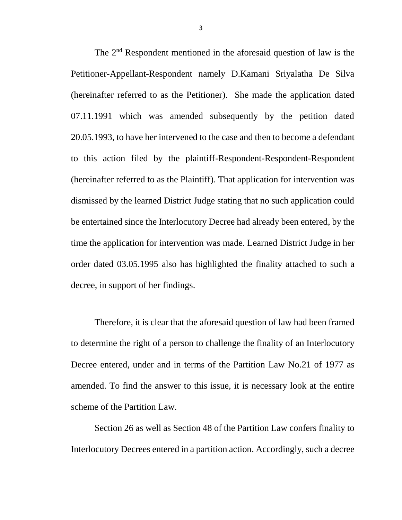The 2nd Respondent mentioned in the aforesaid question of law is the Petitioner-Appellant-Respondent namely D.Kamani Sriyalatha De Silva (hereinafter referred to as the Petitioner). She made the application dated 07.11.1991 which was amended subsequently by the petition dated 20.05.1993, to have her intervened to the case and then to become a defendant to this action filed by the plaintiff-Respondent-Respondent-Respondent (hereinafter referred to as the Plaintiff). That application for intervention was dismissed by the learned District Judge stating that no such application could be entertained since the Interlocutory Decree had already been entered, by the time the application for intervention was made. Learned District Judge in her order dated 03.05.1995 also has highlighted the finality attached to such a decree, in support of her findings.

Therefore, it is clear that the aforesaid question of law had been framed to determine the right of a person to challenge the finality of an Interlocutory Decree entered, under and in terms of the Partition Law No.21 of 1977 as amended. To find the answer to this issue, it is necessary look at the entire scheme of the Partition Law.

Section 26 as well as Section 48 of the Partition Law confers finality to Interlocutory Decrees entered in a partition action. Accordingly, such a decree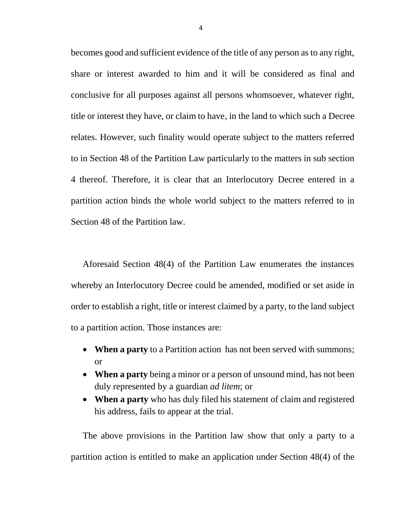becomes good and sufficient evidence of the title of any person as to any right, share or interest awarded to him and it will be considered as final and conclusive for all purposes against all persons whomsoever, whatever right, title or interest they have, or claim to have, in the land to which such a Decree relates. However, such finality would operate subject to the matters referred to in Section 48 of the Partition Law particularly to the matters in sub section 4 thereof. Therefore, it is clear that an Interlocutory Decree entered in a partition action binds the whole world subject to the matters referred to in Section 48 of the Partition law.

Aforesaid Section 48(4) of the Partition Law enumerates the instances whereby an Interlocutory Decree could be amended, modified or set aside in order to establish a right, title or interest claimed by a party, to the land subject to a partition action. Those instances are:

- **When a party** to a Partition action has not been served with summons; or
- **When a party** being a minor or a person of unsound mind, has not been duly represented by a guardian *ad litem*; or
- **When a party** who has duly filed his statement of claim and registered his address, fails to appear at the trial.

The above provisions in the Partition law show that only a party to a partition action is entitled to make an application under Section 48(4) of the

4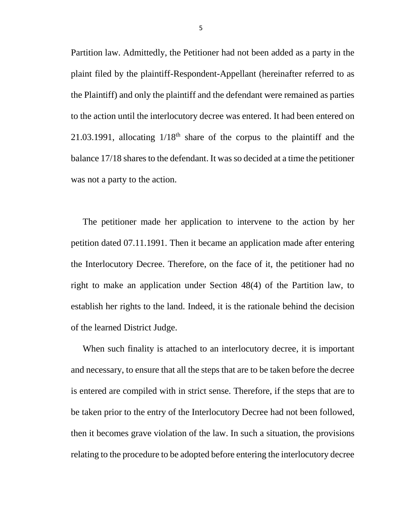Partition law. Admittedly, the Petitioner had not been added as a party in the plaint filed by the plaintiff-Respondent-Appellant (hereinafter referred to as the Plaintiff) and only the plaintiff and the defendant were remained as parties to the action until the interlocutory decree was entered. It had been entered on 21.03.1991, allocating  $1/18<sup>th</sup>$  share of the corpus to the plaintiff and the balance 17/18 shares to the defendant. It was so decided at a time the petitioner was not a party to the action.

The petitioner made her application to intervene to the action by her petition dated 07.11.1991. Then it became an application made after entering the Interlocutory Decree. Therefore, on the face of it, the petitioner had no right to make an application under Section 48(4) of the Partition law, to establish her rights to the land. Indeed, it is the rationale behind the decision of the learned District Judge.

When such finality is attached to an interlocutory decree, it is important and necessary, to ensure that all the steps that are to be taken before the decree is entered are compiled with in strict sense. Therefore, if the steps that are to be taken prior to the entry of the Interlocutory Decree had not been followed, then it becomes grave violation of the law. In such a situation, the provisions relating to the procedure to be adopted before entering the interlocutory decree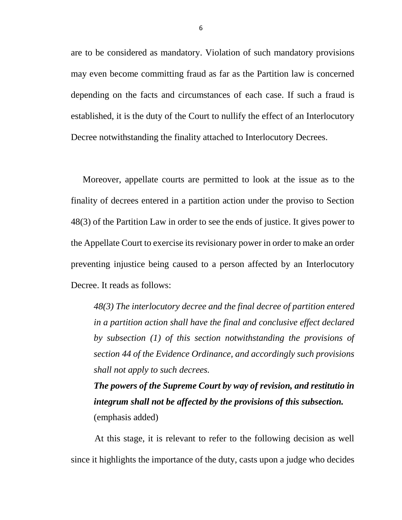are to be considered as mandatory. Violation of such mandatory provisions may even become committing fraud as far as the Partition law is concerned depending on the facts and circumstances of each case. If such a fraud is established, it is the duty of the Court to nullify the effect of an Interlocutory Decree notwithstanding the finality attached to Interlocutory Decrees.

Moreover, appellate courts are permitted to look at the issue as to the finality of decrees entered in a partition action under the proviso to Section 48(3) of the Partition Law in order to see the ends of justice. It gives power to the Appellate Court to exercise its revisionary power in order to make an order preventing injustice being caused to a person affected by an Interlocutory Decree. It reads as follows:

*48(3) The interlocutory decree and the final decree of partition entered in a partition action shall have the final and conclusive effect declared by subsection (1) of this section notwithstanding the provisions of section 44 of the Evidence Ordinance, and accordingly such provisions shall not apply to such decrees.*

*The powers of the Supreme Court by way of revision, and restitutio in integrum shall not be affected by the provisions of this subsection.* (emphasis added)

At this stage, it is relevant to refer to the following decision as well since it highlights the importance of the duty, casts upon a judge who decides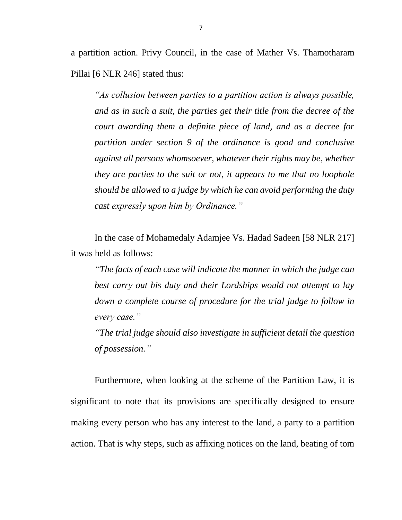a partition action. Privy Council, in the case of Mather Vs. Thamotharam Pillai [6 NLR 246] stated thus:

*"As collusion between parties to a partition action is always possible, and as in such a suit, the parties get their title from the decree of the court awarding them a definite piece of land, and as a decree for partition under section 9 of the ordinance is good and conclusive against all persons whomsoever, whatever their rights may be, whether they are parties to the suit or not, it appears to me that no loophole should be allowed to a judge by which he can avoid performing the duty cast expressly upon him by Ordinance."*

In the case of Mohamedaly Adamjee Vs. Hadad Sadeen [58 NLR 217] it was held as follows:

*"The facts of each case will indicate the manner in which the judge can best carry out his duty and their Lordships would not attempt to lay down a complete course of procedure for the trial judge to follow in every case."*

*"The trial judge should also investigate in sufficient detail the question of possession."*

Furthermore, when looking at the scheme of the Partition Law, it is significant to note that its provisions are specifically designed to ensure making every person who has any interest to the land, a party to a partition action. That is why steps, such as affixing notices on the land, beating of tom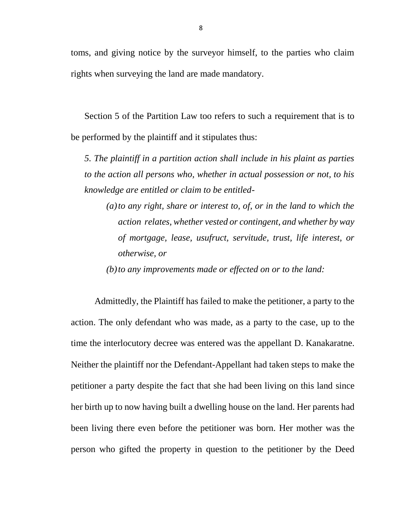toms, and giving notice by the surveyor himself, to the parties who claim rights when surveying the land are made mandatory.

Section 5 of the Partition Law too refers to such a requirement that is to be performed by the plaintiff and it stipulates thus:

*5. The plaintiff in a partition action shall include in his plaint as parties to the action all persons who, whether in actual possession or not, to his knowledge are entitled or claim to be entitled-*

*(a)to any right, share or interest to, of, or in the land to which the action relates, whether vested or contingent, and whether by way of mortgage, lease, usufruct, servitude, trust, life interest, or otherwise, or*

*(b)to any improvements made or effected on or to the land:*

Admittedly, the Plaintiff has failed to make the petitioner, a party to the action. The only defendant who was made, as a party to the case, up to the time the interlocutory decree was entered was the appellant D. Kanakaratne. Neither the plaintiff nor the Defendant-Appellant had taken steps to make the petitioner a party despite the fact that she had been living on this land since her birth up to now having built a dwelling house on the land. Her parents had been living there even before the petitioner was born. Her mother was the person who gifted the property in question to the petitioner by the Deed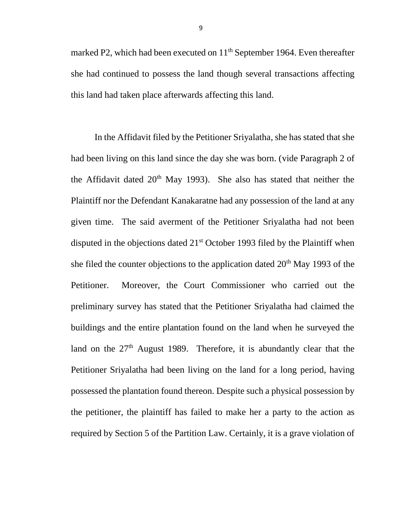marked P2, which had been executed on  $11<sup>th</sup>$  September 1964. Even thereafter she had continued to possess the land though several transactions affecting this land had taken place afterwards affecting this land.

In the Affidavit filed by the Petitioner Sriyalatha, she has stated that she had been living on this land since the day she was born. (vide Paragraph 2 of the Affidavit dated  $20<sup>th</sup>$  May 1993). She also has stated that neither the Plaintiff nor the Defendant Kanakaratne had any possession of the land at any given time. The said averment of the Petitioner Sriyalatha had not been disputed in the objections dated 21<sup>st</sup> October 1993 filed by the Plaintiff when she filed the counter objections to the application dated  $20<sup>th</sup>$  May 1993 of the Petitioner. Moreover, the Court Commissioner who carried out the preliminary survey has stated that the Petitioner Sriyalatha had claimed the buildings and the entire plantation found on the land when he surveyed the land on the  $27<sup>th</sup>$  August 1989. Therefore, it is abundantly clear that the Petitioner Sriyalatha had been living on the land for a long period, having possessed the plantation found thereon. Despite such a physical possession by the petitioner, the plaintiff has failed to make her a party to the action as required by Section 5 of the Partition Law. Certainly, it is a grave violation of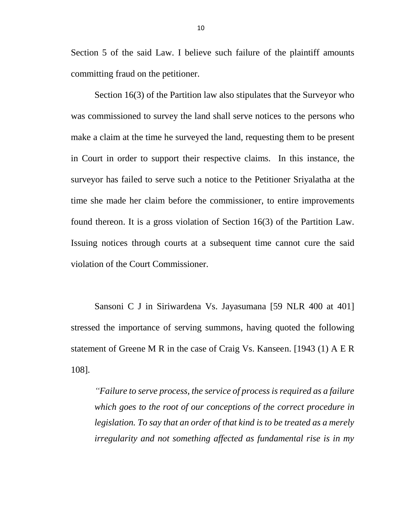Section 5 of the said Law. I believe such failure of the plaintiff amounts committing fraud on the petitioner.

Section 16(3) of the Partition law also stipulates that the Surveyor who was commissioned to survey the land shall serve notices to the persons who make a claim at the time he surveyed the land, requesting them to be present in Court in order to support their respective claims. In this instance, the surveyor has failed to serve such a notice to the Petitioner Sriyalatha at the time she made her claim before the commissioner, to entire improvements found thereon. It is a gross violation of Section 16(3) of the Partition Law. Issuing notices through courts at a subsequent time cannot cure the said violation of the Court Commissioner.

Sansoni C J in Siriwardena Vs. Jayasumana [59 NLR 400 at 401] stressed the importance of serving summons, having quoted the following statement of Greene M R in the case of Craig Vs. Kanseen. [1943 (1) A E R 108].

*"Failure to serve process, the service of process is required as a failure which goes to the root of our conceptions of the correct procedure in legislation. To say that an order of that kind is to be treated as a merely irregularity and not something affected as fundamental rise is in my*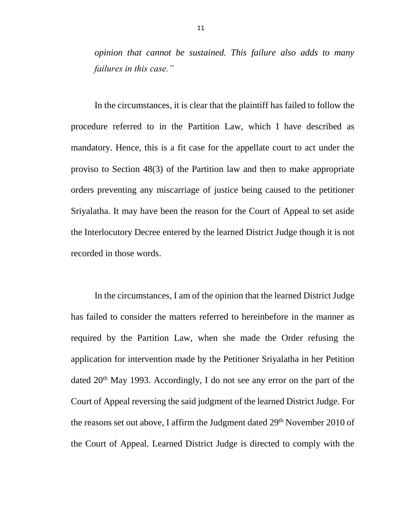*opinion that cannot be sustained. This failure also adds to many failures in this case."*

In the circumstances, it is clear that the plaintiff has failed to follow the procedure referred to in the Partition Law, which I have described as mandatory. Hence, this is a fit case for the appellate court to act under the proviso to Section 48(3) of the Partition law and then to make appropriate orders preventing any miscarriage of justice being caused to the petitioner Sriyalatha. It may have been the reason for the Court of Appeal to set aside the Interlocutory Decree entered by the learned District Judge though it is not recorded in those words.

In the circumstances, I am of the opinion that the learned District Judge has failed to consider the matters referred to hereinbefore in the manner as required by the Partition Law, when she made the Order refusing the application for intervention made by the Petitioner Sriyalatha in her Petition dated 20<sup>th</sup> May 1993. Accordingly, I do not see any error on the part of the Court of Appeal reversing the said judgment of the learned District Judge. For the reasons set out above, I affirm the Judgment dated  $29<sup>th</sup>$  November 2010 of the Court of Appeal. Learned District Judge is directed to comply with the